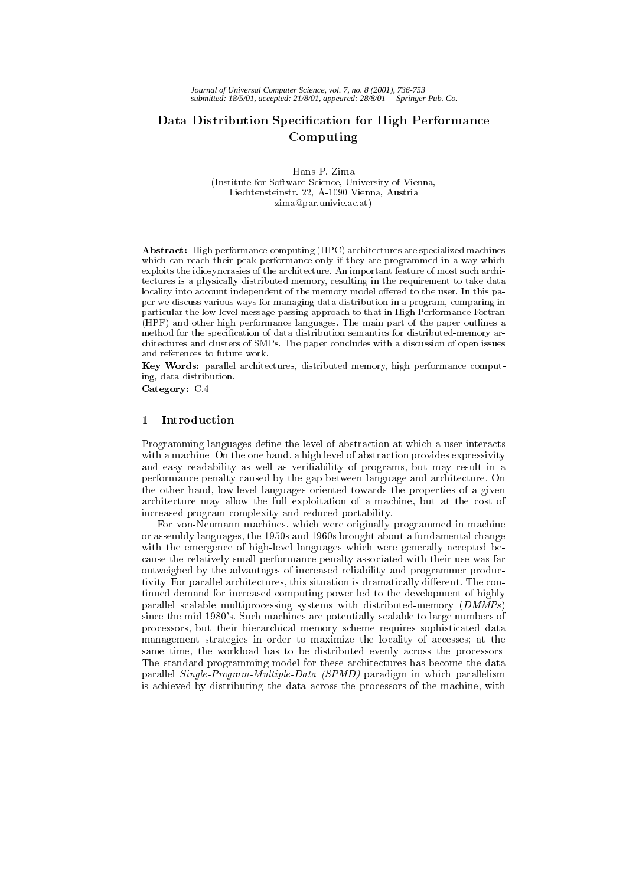# Data Distribution Specication for High Performance Computing

Hans P. Zima (Institute for Software Science, University of Vienna, Liechtensteinstr. 22, A-1090 Vienna, Austria zima@par.univie.ac.at)

Abstract: High performance computing (HPC) architectures are specialized machines which can reach their peak performance only if they are programmed in a way which exploits the idiosyncrasies of the architecture. An important feature of most such architectures is a physically distributed memory, resulting in the requirement to take data locality into account independent of the memory model offered to the user. In this paper we discuss various ways for managing data distribution in a program, comparing in particular the low-level message-passing approach to that in High Performance Fortran (HPF) and other high performance languages. The main part of the paper outlines a method for the specication of data distribution semantics for distributed-memory ar chitectures and clusters of SMPs. The paper concludes with a discussion of open issues and references to future work.

Key Words: parallel architectures, distributed memory, high performance computing, data distribution.

Category: C.4

## 1 Introduction

Programming languages define the level of abstraction at which a user interacts with a machine. On the one hand, a high level of abstraction provides expressivity and easy readability as well as veriability of programs, but may result in a performance penalty caused by the gap between language and architecture. On the other hand, low-level languages oriented towards the properties of a given architecture may allow the full exploitation of a machine, but at the cost of increased program complexity and reduced portability.

For von-Neumann machines, which were originally programmed in machine or assembly languages, the 1950s and 1960s brought about a fundamental change with the emergence of high-level languages which were generally accepted because the relatively small performance penalty associated with their use was far outweighed by the advantages of increased reliability and programmer productivity. For parallel architectures, this situation is dramatically different. The continued demand for increased computing power led to the development of highly parallel scalable multiprocessing systems with distributed-memory  $(DMMPs)$ since the mid 1980's. Such machines are potentially scalable to large numbers of processors, but their hierarchical memory scheme requires sophisticated data management strategies in order to maximize the locality of accesses; at the same time, the workload has to be distributed evenly across the processors. The standard programming model for these architectures has become the data parallel Single-Program-Multiple-Data (SPMD) paradigm in which parallelism is achieved by distributing the data across the processors of the machine, with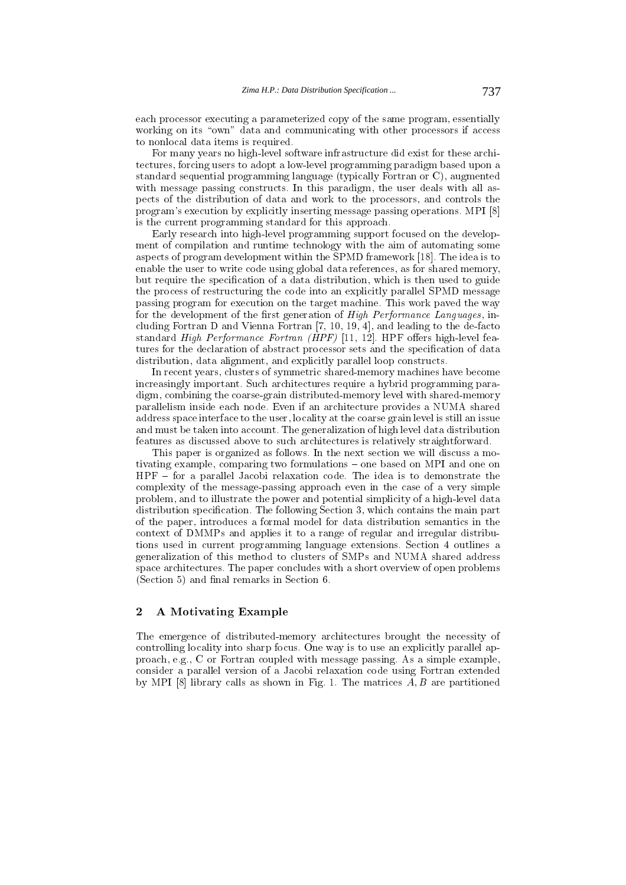each processor executing a parameterized copy of the same program, essentially working on its "own" data and communicating with other processors if access to nonlocal data items is required.

For many years no high-level software infrastructure did exist for these architectures, forcing users to adopt a low-level programming paradigm based upon a standard sequential programming language (typically Fortran or C), augmented with message passing constructs. In this paradigm, the user deals with all aspects of the distribution of data and work to the processors, and controls the program's execution by explicitly inserting message passing operations. MPI [8] is the current programming standard for this approach.

Early research into high-level programming support focused on the development of compilation and runtime technology with the aim of automating some aspects of program development within the SPMD framework [18]. The idea is to enable the user to write code using global data references, as for shared memory, but require the specification of a data distribution, which is then used to guide the process of restructuring the code into an explicitly parallel SPMD message passing program for execution on the target machine. This work paved the way for the development of the first generation of High Performance Languages, including Fortran D and Vienna Fortran [7, 10, 19, 4], and leading to the de-facto standard High Performance Fortran (HPF) [11, 12]. HPF offers high-level features for the declaration of abstract processor sets and the specification of data distribution, data alignment, and explicitly parallel loop constructs.

In recent years, clusters of symmetric shared-memory machines have become increasingly important. Such architectures require a hybrid programming paradigm, combining the coarse-grain distributed-memory level with shared-memory parallelism inside each node. Even if an architecture provides a NUMA shared address space interface to the user, locality at the coarse grain level is still an issue and must be taken into account. The generalization of high level data distribution features as discussed above to such architectures is relatively straightforward.

This paper is organized as follows. In the next section we will discuss a motivating example, comparing two formulations - one based on MPI and one on  $HPF$  = for a parallel Jacobi relaxation code. The idea is to demonstrate the complexity of the message-passing approach even in the case of a very simple problem, and to illustrate the power and potential simplicity of a high-level data distribution specification. The following Section 3, which contains the main part of the paper, introduces a formal model for data distribution semantics in the context of DMMPs and applies it to a range of regular and irregular distributions used in current programming language extensions. Section 4 outlines a generalization of this method to clusters of SMPs and NUMA shared address space architectures. The paper concludes with a short overview of open problems  $(Section 5)$  and final remarks in Section 6.

#### $\overline{2}$ 2 A Motivating Example

The emergence of distributed-memory architectures brought the necessity of controlling locality into sharp focus. One way is to use an explicitly parallel approach, e.g., C or Fortran coupled with message passing. As a simple example, consider a parallel version of a Jacobi relaxation code using Fortran extended by MPI  $[8]$  library calls as shown in Fig. 1. The matrices  $A, B$  are partitioned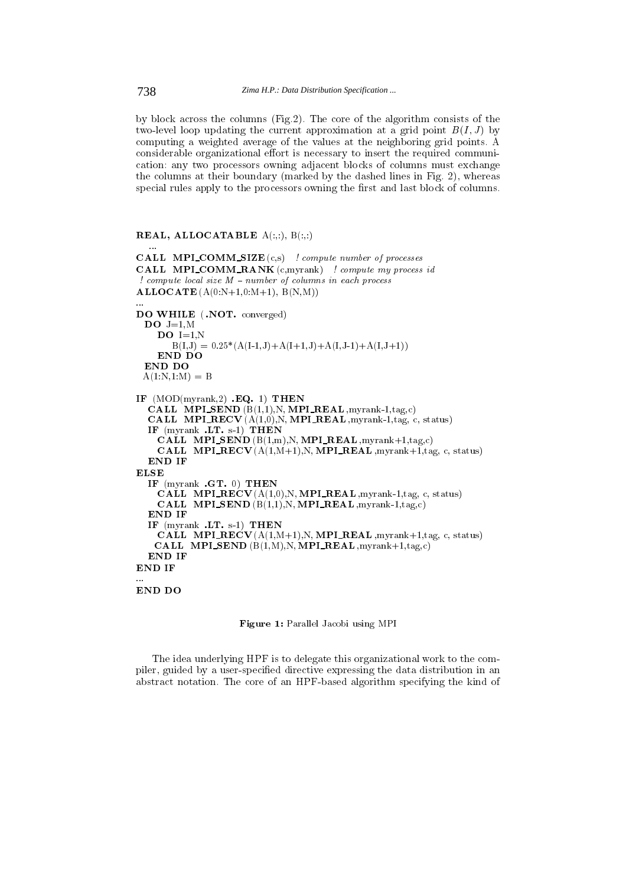by block across the columns (Fig.2). The core of the algorithm consists of the two-level loop updating the current approximation at a grid point  $B(I, J)$  by computing a weighted average of the values at the neighboring grid points. A considerable organizational effort is necessary to insert the required communication: any two processors owning adjacent blocks of columns must exchange the columns at their boundary (marked by the dashed lines in Fig. 2), whereas special rules apply to the processors owning the first and last block of columns.

## REAL, ALLOCATABLE  $A(:,:), B(:,:)$

```
CALL MPI_COMM_SIZE(c,s) ! compute number of processes
CALL MPI_COMM_RANK (c,myrank) ! compute my process id
! compute local size M - number of columns in each process
ALLOCATE(A(0:N+1,0:M+1), B(N,M))DO WHILE ( .NOT. converged)
 DO J=1,M
    DO I=1.NB(I,J) = 0.25*(A(I-1,J)+A(I+1,J)+A(I,J-1)+A(I,J+1))END DO
 A(1:N,1:M) = BIF (MOD(myrank,2) .EQ. 1) THEN
  \textbf{CALL} MPI SEND (B(1,1), N, MPI REAL , myrank-1,tag,c)
  CALL MPLRECV (A(1,0),N, MPI \cdot \textbf{REAL}, myrank-1,tag, c, status)
  IF (myrank .LT. s-1) THEN
     \textbf{CALL} \ \ \textbf{MPI\_SEND}\left(\textbf{B(1,m)},\textbf{N},\textbf{MPI\_REAL},\text{myrank+1},\text{tag},c\right)CALL MPLRECV (A(1,M+1),N, \textbf{MPI\_REAL}, myrank+1, tag, c, status)END IF
ELSE
  IF (myrank .GT. 0) THEN
     CALL MPLRECV (A(1,0), N, \textbf{MPI\_REAL}, myrank-1, tag, c, status)CALL MPI SEND (B(1,1),N, MPI, \textbf{REAL}, myrank-1, tag, c)END IF
  IF (mvrank .LT. s-1) THEN
     CALL MPI RECV (A(1,M+1),N, \textbf{MPI} \textbf{.} \textbf{REAL}, myrank+1,tag, c, status)
    CALL MPI SEND (B(1,M),N, \textbf{MPI\_REAL}, \text{myrank}+1, \text{tag}, c)END IF
END IF
END DO
```
#### Figure 1: Parallel Jacobi using MPI

The idea underlying HPF is to delegate this organizational work to the compiler, guided by a user-specied directive expressing the data distribution in an abstract notation. The core of an HPF-based algorithm specifying the kind of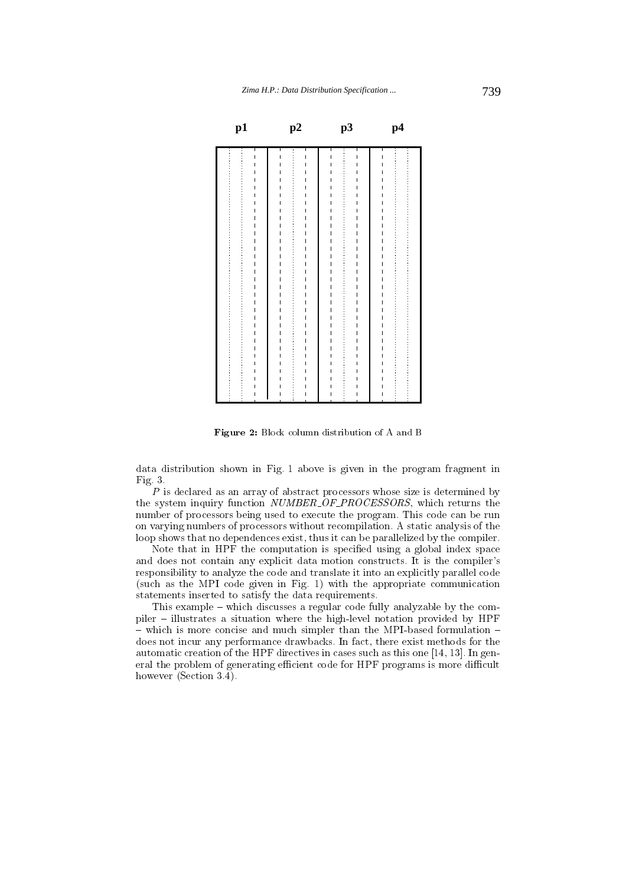

Figure 2: Block column distribution of A and B

data distribution shown in Fig. 1 above is given in the program fragment in Fig. 3.

 $P$  is declared as an array of abstract processors whose size is determined by the system inquiry function NUMBER OF PROCESSORS, which returns the number of processors being used to execute the program. This code can be run on varying numbers of processors without recompilation. A static analysis of the loop shows that no dependences exist, thus it can be parallelized by the compiler.

Note that in HPF the computation is specified using a global index space and does not contain any explicit data motion constructs. It is the compiler's responsibility to analyze the code and translate it into an explicitly parallel code (such as the MPI code given in Fig. 1) with the appropriate communication statements inserted to satisfy the data requirements.

This example  $-$  which discusses a regular code fully analyzable by the compiler { illustrates a situation where the high-level notation provided by HPF  $-$  which is more concise and much simpler than the MPI-based formulation  $$ does not incur any performance drawbacks. In fact, there exist methods for the automatic creation of the HPF directives in cases such as this one [14, 13]. In general the problem of generating efficient code for HPF programs is more difficult however (Section 3.4).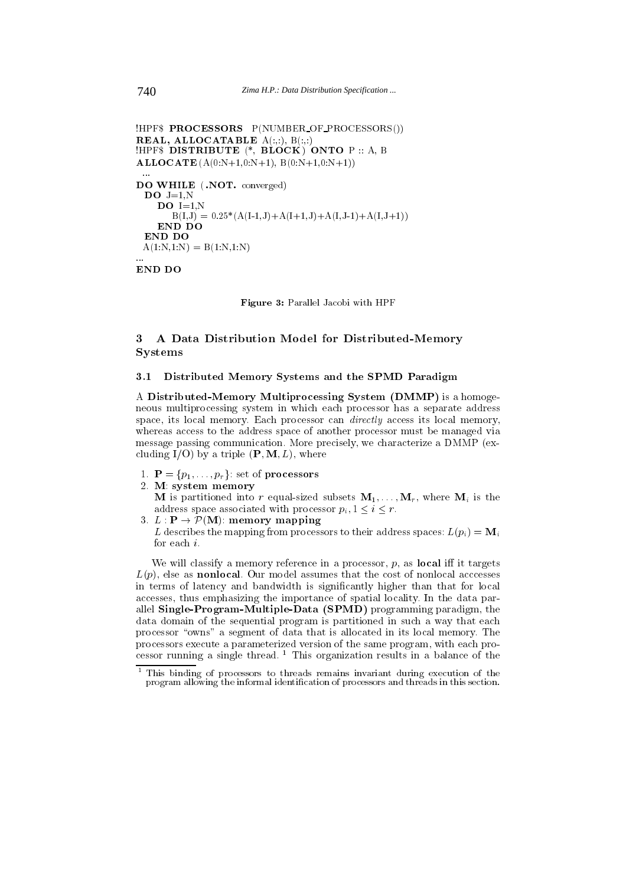```
!HPF$ PROCESSORS P(NUMBER OF PROCESSORS())
REAL, ALLOCATABLE A(:,:), B(:,:)!HPF$ DISTRIBUTE (*, BLOCK) ONTO P :: A, B
\mathbf{ALLOCATE}\left(A(0:N+1,0:N+1),\;B(0:N+1,0:N+1)\right)
```

```
DO WHILE ( .NOT. converged)
 \overline{\mathbf{DO}} J=1,N
    DO I=1,NB(I,J) = 0.25*(A(I-1,J)+A(I+1,J)+A(I,J-1)+A(I,J+1))END DO
 END DO
 A(1:N,1:N) = B(1:N,1:N)
```
END DO

Figure 3: Parallel Jacobi with HPF

#### 3 A Data Distribution Model for Distributed-Memory  $\mathbf{R}$ Systems

### 3.1 Distributed Memory Systems and the SPMD Paradigm

A Distributed-Memory Multiprocessing System (DMMP) is a homogeneous multiprocessing system in which each processor has a separate address space, its local memory. Each processor can *directly* access its local memory, whereas access to the address space of another processor must be managed via message passing communication. More precisely, we characterize a DMMP (excluding  $I/O$ ) by a triple  $(\mathbf{P}, \mathbf{M}, L)$ , where

- 1.  $\mathbf{P} = \{p_1, \ldots, p_r\}$ : set of processors
- 2. M: system memory

**M** is partitioned into r equal-sized subsets  $M_1, \ldots, M_r$ , where  $M_i$  is the address space associated with processor  $p_i, 1 \leq i \leq r$ .

3.  $L : \mathbf{P} \to \mathcal{P}(\mathbf{M})$ : memory mapping

L describes the mapping from processors to their address spaces:  $L(p_i) = M_i$ for each i.

We will classify a memory reference in a processor,  $p$ , as local iff it targets  $L(p)$ , else as **nonlocal**. Our model assumes that the cost of nonlocal acccesses in terms of latency and bandwidth is signicantly higher than that for local accesses, thus emphasizing the importance of spatial locality. In the data parallel Single-Program-Multiple-Data (SPMD) programming paradigm, the data domain of the sequential program is partitioned in such a way that each processor "owns" a segment of data that is allocated in its local memory. The processors execute a parameterized version of the same program, with each processor running a single thread. <sup>1</sup> This organization results in a balance of the

<sup>1</sup> This binding of processors to threads remains invariant during execution of the program allowing the informal identification of processors and threads in this section.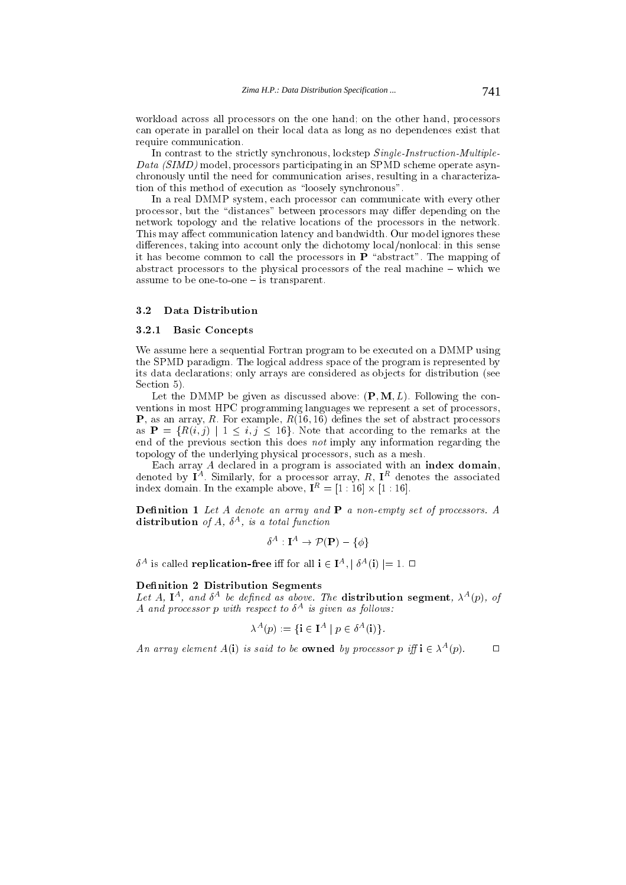workload across all processors on the one hand; on the other hand, processors can operate in parallel on their local data as long as no dependences exist that require communication.

In contrast to the strictly synchronous, lockstep Single-Instruction-Multiple-Data (SIMD) model, processors participating in an SPMD scheme operate asynchronously until the need for communication arises, resulting in a characterization of this method of execution as "loosely synchronous".

In a real DMMP system, each processor can communicate with every other processor, but the "distances" between processors may differ depending on the network topology and the relative locations of the processors in the network. This may affect communication latency and bandwidth. Our model ignores these differences, taking into account only the dichotomy local/nonlocal: in this sense it has become common to call the processors in  $\mathbf{P}$  "abstract". The mapping of abstract processors to the physical processors of the real machine  $-\text{ which we}$ assume to be one-to-one  $-$  is transparent.

#### $3.2$ Data Distribution

## 3.2.1 Basic Concepts

We assume here a sequential Fortran program to be executed on a DMMP using the SPMD paradigm. The logical address space of the program is represented by its data declarations; only arrays are considered as objects for distribution (see Section 5).

Let the DMMP be given as discussed above:  $(P, M, L)$ . Following the conventions in most HPC programming languages we represent a set of processors, **P**, as an array, R. For example,  $R(16, 16)$  defines the set of abstract processors as  $\mathbf{P} = \{R(i, j) | 1 \leq i, j \leq 16\}$ . Note that according to the remarks at the end of the previous section this does not imply any information regarding the topology of the underlying physical processors, such as a mesh.

denoted by  $I^A$ . Similarly, for a processor array,  $R$ ,  $I^R$  denotes the associated index domain. In the example above,  $\mathbf{I}^{\mu} = [1 : 16] \times [1 : 16]$ .

**Definition 1** Let A denote an array and  $P$  a non-empty set of processors. A **distribution** of  $A$ ,  $\sigma$ <sup>-</sup>, is a total function

$$
\delta^A:{\bf I}^A\to {\mathcal P}({\bf P})-\{\phi\}
$$

 $\delta^A$  is called **replication-free** iff for all  $\mathbf{i} \in \mathbf{I}^A, |\delta^A(\mathbf{i})| = 1$ .  $\Box$ 

### Definition 2 Distribution Segments

Let  $A$ ,  $\mathbf{I}^{\top}$ , and  $\theta^{\top}$  be defined as above. The **distribution segment**,  $\lambda^{\top}(p)$ , of  $A$  and processor  $p$  with respect to  $\sigma$  is qiven as follows:

$$
\lambda^A(p) := \{ \mathbf{i} \in \mathbf{I}^A \mid p \in \delta^A(\mathbf{i}) \}.
$$

An array element  $A(\mathbf{i})$  is said to be **owned** by processor p iff  $\mathbf{i} \in \lambda^{\alpha}(p)$ .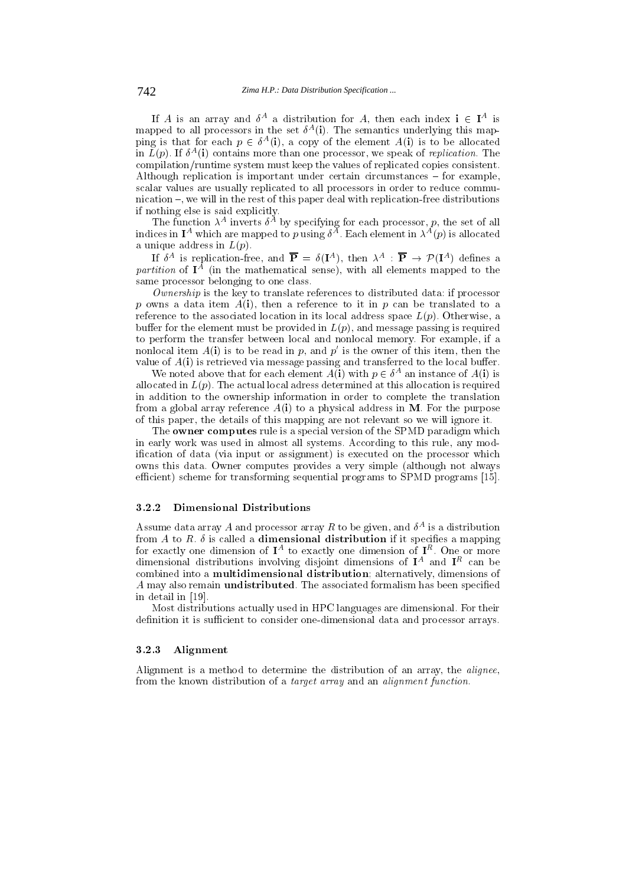If A is an array and  $\delta^A$  a distribution for A, then each index  $i \in I^A$  is mapped to all processors in the set  $\delta^-(1)$ . The semantics underlying this mapping is that for each  $p \in \delta^A(i)$ , a copy of the element  $A(i)$  is to be allocated In  $L(p)$ . If  $\theta$  (1) contains more than one processor, we speak of *replication*. The compilation/runtime system must keep the values of replicated copies consistent. Although replication is important under certain circumstances  $-$  for example, scalar values are usually replicated to all processors in order to reduce commu $n$ ication  $-$ , we will in the rest of this paper deal with replication-free distributions if nothing else is said explicitly.

The function  $\lambda^*$  inverts  $\delta^*$  by specifying for each processor,  $p$ , the set of all indices in  $\mathbf{I}^\perp$  which are mapped to p using  $\delta^\perp$ . Each element in  $\lambda^\perp(p)$  is allocated a unique address in  $L(p)$ .

If  $\delta^A$  is replication-free, and  $\mathbf{P} = \delta(\mathbf{I}^A)$ , then  $\lambda^A : \mathbf{P} \to \mathcal{P}(\mathbf{I}^A)$  defines a  $\emph{partuion}$  of  $\bf{I}$  and the mathematical sense), with all elements mapped to the same processor belonging to one class.

 $\overline{O}$ *wnership* is the key to translate references to distributed data: if processor p owns a data item  $A(i)$ , then a reference to it in p can be translated to a reference to the associated location in its local address space  $L(p)$ . Otherwise, a buffer for the element must be provided in  $L(p)$ , and message passing is required to perform the transfer between local and nonlocal memory. For example, if a nonlocal item  $A(i)$  is to be read in p, and p' is the owner of this item, then the value of  $A(i)$  is retrieved via message passing and transferred to the local buffer.

We noted above that for each element  $A(i)$  with  $p \in \delta^A$  an instance of  $A(i)$  is allocated in  $L(p)$ . The actual local adress determined at this allocation is required in addition to the ownership information in order to complete the translation from a global array reference  $A(i)$  to a physical address in M. For the purpose of this paper, the details of this mapping are not relevant so we will ignore it.

The owner computes rule is a special version of the SPMD paradigm which in early work was used in almost all systems. According to this rule, any modification of data (via input or assignment) is executed on the processor which owns this data. Owner computes provides a very simple (although not always efficient) scheme for transforming sequential programs to SPMD programs [15].

#### 3.2.2 Dimensional Distributions

Assume data array A and processor array  $R$  to be given, and  $\delta^{**}$  is a distribution from A to R.  $\delta$  is called a dimensional distribution if it specifies a mapping for exactly one dimension of  $\bf{I}$  and exactly one dimension of  $\bf{I}$  . One or more dimensional distributions involving disjoint dimensions of **I**P and **I**P can be combined into a multidimensional distribution; alternatively, dimensions of A may also remain undistributed. The associated formalism has been specied in detail in [19].

Most distributions actually used in HPC languages are dimensional. For their definition it is sufficient to consider one-dimensional data and processor arrays.

## 3.2.3 Alignment

Alignment is a method to determine the distribution of an array, the alignee, from the known distribution of a target array and an alignment function.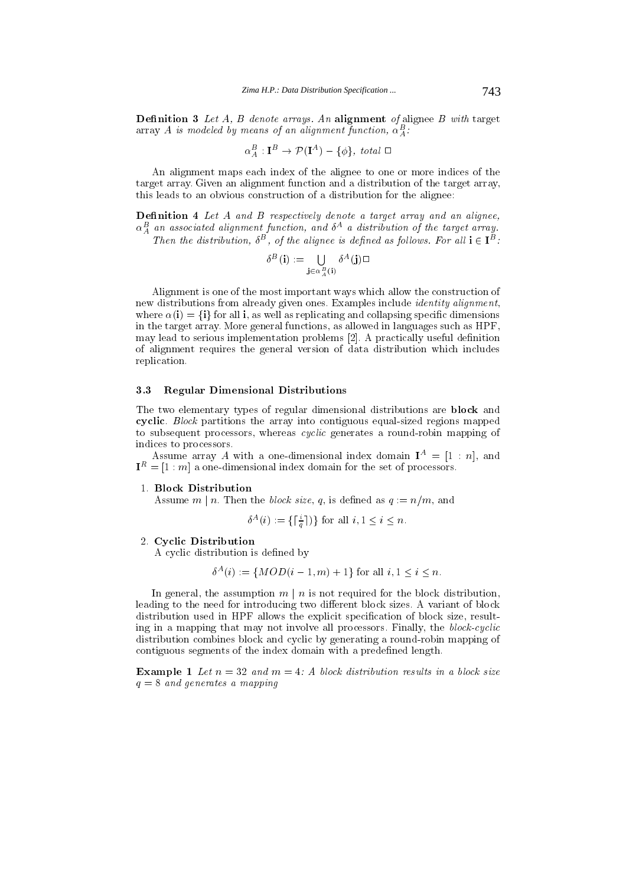**Definition 3** Let  $A$ ,  $B$  denote arrays. An alignment of alignee  $B$  with target array A is modeled by means of an alignment function,  $\alpha_A^-$ :

$$
\alpha_A^B : \mathbf{I}^B \to \mathcal{P}(\mathbf{I}^A) - \{\phi\},\ total \ \Box
$$

An alignment maps each index of the alignee to one or more indices of the target array. Given an alignment function and a distribution of the target array, this leads to an obvious construction of a distribution for the alignee:

**Definition 4** Let  $A$  and  $B$  respectively denote a target array and an alignee,  $\alpha_A^-$  an associated augmment function, and  $\delta^{++}$  a assiribution of the target array. Then the distribution,  $\delta^D$ , of the alignee is defined as follows. For all  $i \in I^D$ :

$$
\delta^B({\bf i}) := \bigcup_{{\bf j} \in \alpha_A^B({\bf i})} \delta^A({\bf j}) \square
$$

Alignment is one of the most important ways which allow the construction of new distributions from already given ones. Examples include identity alignment, where  $\alpha(i) = \{i\}$  for all i, as well as replicating and collapsing specific dimensions in the target array. More general functions, as allowed in languages such as HPF, may lead to serious implementation problems [2]. A practically useful definition of alignment requires the general version of data distribution which includes replication.

#### 3.3 Regular Dimensional Distributions

The two elementary types of regular dimensional distributions are block and cyclic. Block partitions the array into contiguous equal-sized regions mapped to subsequent processors, whereas cyclic generates a round-robin mapping of

Assume array A with a one-dimensional index domain  $I^A = [1 : n]$ , and  $I^{\perp\perp} = |I|$ :  $m_{\parallel}$  a one-dimensional index domain for the set of processors.

### 1. Block Distribution

Assume  $m \mid n$ . Then the *block size*, q, is defined as  $q := n/m$ , and

$$
\delta^{A}(i) := \left\{ \left\lceil \frac{i}{q} \right\rceil \right\} \text{ for all } i, 1 \leq i \leq n.
$$

2. Cyclic Distribution

A cyclic distribution is defined by

$$
\delta^{A}(i) := \{MOD(i-1,m)+1\} \text{ for all } i, 1 \leq i \leq n.
$$

In general, the assumption  $m \mid n$  is not required for the block distribution, leading to the need for introducing two different block sizes. A variant of block distribution used in HPF allows the explicit specication of block size, resulting in a mapping that may not involve all processors. Finally, the block-cyclic distribution combines block and cyclic by generating a round-robin mapping of contiguous segments of the index domain with a predefined length.

**Example 1** Let  $n = 32$  and  $m = 4$ : A block distribution results in a block size  $q = 8$  and generates a mapping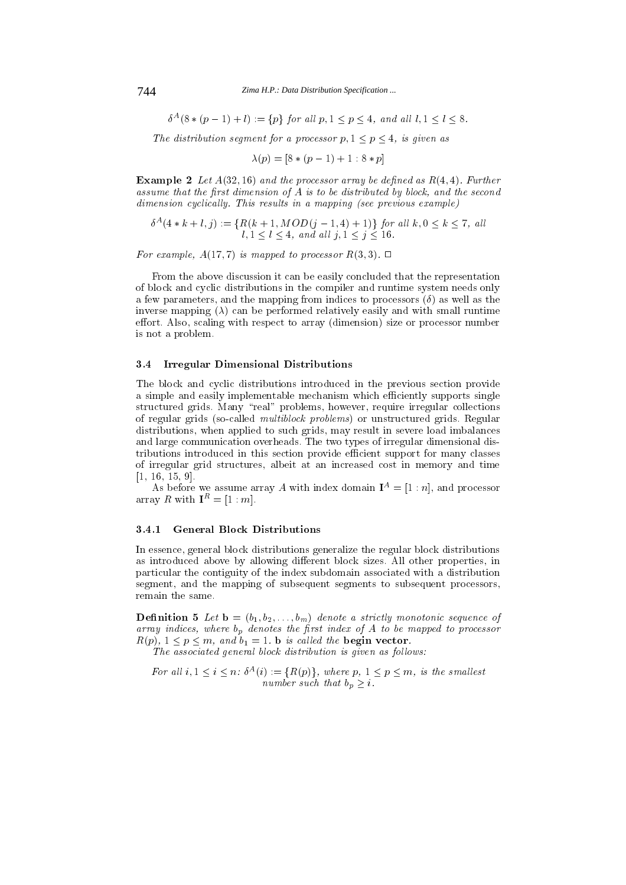744 *Zima H.P.: Data Distribution Specification ...*

 $\delta^A(8 * (p-1) + l) := \{p\}$  for all  $p, 1 \leq p \leq 4$ , and all  $l, 1 \leq l \leq 8$ .

The distribution segment for a processor  $p, 1 \leq p \leq 4$ , is given as

$$
\lambda(p) = [8 * (p - 1) + 1 : 8 * p]
$$

**Example 2** Let  $A(32, 16)$  and the processor array be defined as  $R(4, 4)$ . Further assume that the first dimension of  $A$  is to be distributed by block, and the second  $dimension\ cyclically.$  This results in a mapping (see previous example)

$$
\delta^{A}(4*k+l, j) := \{ R(k+1, MOD(j-1, 4) + 1) \} \text{ for all } k, 0 \le k \le 7, \text{ all } l, 1 \le l \le 4, \text{ and all } j, 1 \le j \le 16.
$$

For example,  $A(17,7)$  is mapped to processor  $R(3,3)$ .  $\Box$ 

From the above discussion it can be easily concluded that the representation of block and cyclic distributions in the compiler and runtime system needs only a few parameters, and the mapping from indices to processors  $(\delta)$  as well as the inverse mapping  $(\lambda)$  can be performed relatively easily and with small runtime effort. Also, scaling with respect to array (dimension) size or processor number is not a problem.

#### 3.4 Irregular Dimensional Distributions

The block and cyclic distributions introduced in the previous section provide a simple and easily implementable mechanism which efficiently supports single structured grids. Many "real" problems, however, require irregular collections of regular grids (so-called multiblock problems) or unstructured grids. Regular distributions, when applied to such grids, may result in severe load imbalances and large communication overheads. The two types of irregular dimensional distributions introduced in this section provide efficient support for many classes of irregular grid structures, albeit at an increased cost in memory and time [1, 16, 15, 9].

As before we assume array A with index domain  $I<sup>A</sup> = [1 : n]$ , and processor array R with  $I^R = [1 : m]$ .

#### 3.4.1 General Block Distributions  $3.4.1$

In essence, general block distributions generalize the regular block distributions as introduced above by allowing different block sizes. All other properties, in particular the contiguity of the index subdomain associated with a distribution segment, and the mapping of subsequent segments to subsequent processors, remain the same.

 $\blacksquare$  denote the  $\blacksquare$  denote a strictly monotonic sequence of  $\blacksquare$ array indices, where bp denotes the processor bp to be mapped to process.  $R(p)$ ,  $1 \le p \le m$ , and  $b_1 = 1$ . b is called the begin vector.

The associated general block distribution is given as follows:

For all  $i, 1 \leq i \leq n$ :  $\delta^{A}(i) := \{R(p)\},\$  where  $p, 1 \leq p \leq m$ , is the smallest number such that  $b_p \geq i$ .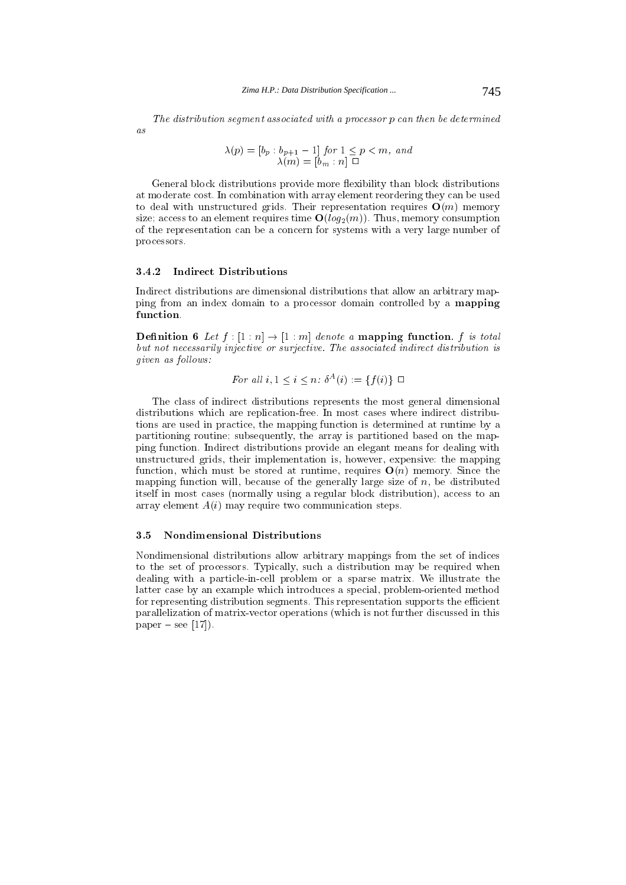The distribution segment associated with a processor p can then be determined  $\overline{a}$ s

$$
\lambda(p) = [b_p : b_{p+1} - 1] \text{ for } 1 \le p < m, \text{ and}
$$

$$
\lambda(m) = [b_m : n] \square
$$

General block distributions provide more flexibility than block distributions at moderate cost. In combination with array element reordering they can be used to deal with unstructured grids. Their representation requires  $O(m)$  memory size; access to an element requires time  $O(log_2(m))$ . Thus, memory consumption of the representation can be a concern for systems with a very large number of processors.

#### $3.4.2$ Indirect Distributions

Indirect distributions are dimensional distributions that allow an arbitrary mapping from an index domain to a processor domain controlled by a mapping function.

**Definition 6** Let  $f : [1 : n] \rightarrow [1 : m]$  denote a **mapping function**. f is total but not necessarily injective or surjective. The associated indirect distribution is given as follows:

For all 
$$
i, 1 \leq i \leq n
$$
:  $\delta^A(i) := \{f(i)\} \square$ 

The class of indirect distributions represents the most general dimensional distributions which are replication-free. In most cases where indirect distributions are used in practice, the mapping function is determined at runtime by a partitioning routine; subsequently, the array is partitioned based on the mapping function. Indirect distributions provide an elegant means for dealing with unstructured grids, their implementation is, however, expensive: the mapping function, which must be stored at runtime, requires  $O(n)$  memory. Since the mapping function will, because of the generally large size of  $n$ , be distributed itself in most cases (normally using a regular block distribution), access to an array element  $A(i)$  may require two communication steps.

## 3.5 Nondimensional Distributions

Nondimensional distributions allow arbitrary mappings from the set of indices to the set of processors. Typically, such a distribution may be required when dealing with a particle-in-cell problem or asparse matrix. We illustrate the latter case by an example which introduces a special, problem-oriented method for representing distribution segments. This representation supports the efficient parallelization of matrix-vector operations (which is not further discussed in this paper  $-$  see [17]).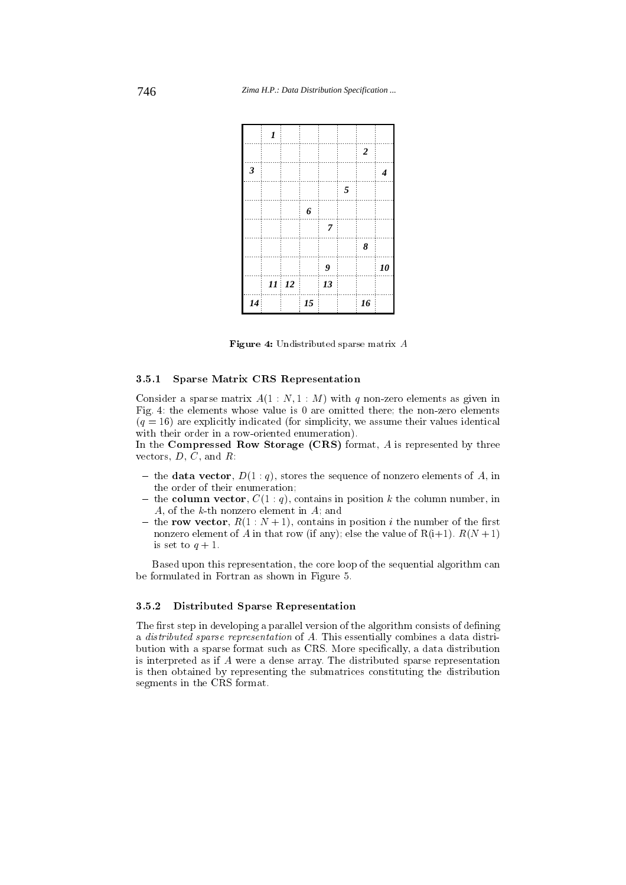

Figure 4: Undistributed sparse matrix A

#### 3.5.1 Sparse Matrix CRS Representation

Consider a sparse matrix  $A(1:N,1:M)$  with q non-zero elements as given in Fig. 4: the elements whose value is 0 are omitted there; the non-zero elements  $(q = 16)$  are explicitly indicated (for simplicity, we assume their values identical with their order in a row-oriented enumeration).

In the Compressed Row Storage  $(CRS)$  format, A is represented by three vectors,  $D, C$ , and  $R$ :

- the data vector,  $D(1:q)$ , stores the sequence of nonzero elements of A, in the order of their enumeration;
- ${\bf -}$  the column vector,  $C(1: q)$ , contains in position k the column number, in A, of the  $k$ -th nonzero element in  $A_i$ ; and
- the row vector,  $R(1:N+1)$ , contains in position *i* the number of the first nonzero element of A in that row (if any); else the value of  $R(i+1)$ .  $R(N+1)$ is set to  $q + 1$ .

Based upon this representation, the core loop of the sequential algorithm can be formulated in Fortran as shown in Figure 5.

## 3.5.2 Distributed Sparse Representation

The first step in developing a parallel version of the algorithm consists of defining a distributed sparse representation of A. This essentially combines a data distribution with a sparse format such as CRS. More specically, a data distribution is interpreted as if A were a dense array. The distributed sparse representation is then obtained by representing the submatrices constituting the distribution segments in the CRS format.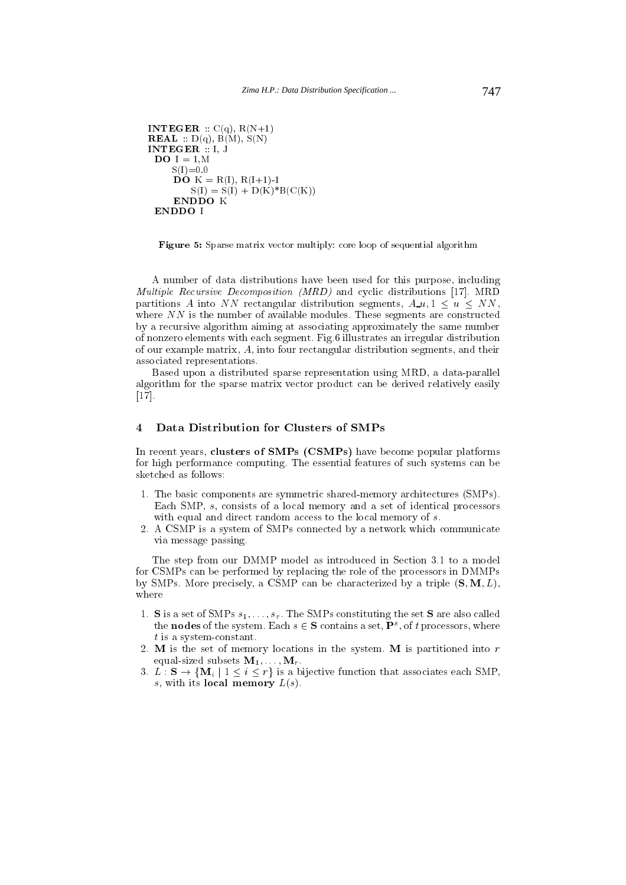```
INTEGER : C(q), R(N+1)REAL :: D(q), B(M), S(N)INTEGER :: I, J
 DO I = 1.MS(I)=0.0\overrightarrow{DO} K = R(I), R(I+1)-1
         S(I) = S(I) + D(K)^*B(C(K))ENDDO K
 ENDDO I
```
Figure 5: Sparse matrix vector multiply: core loop of sequential algorithm

A number of data distributions have been used for this purpose, including Multiple Recursive Decomposition (MRD) and cyclic distributions [17]. MRD partitions A into NN rectangular distribution segments,  $A_u u, 1 \leq u \leq NN$ , where  $NN$  is the number of available modules. These segments are constructed by a recursive algorithm aiming at associating approximately the same number of nonzero elements with each segment. Fig.6 illustrates an irregular distribution of our example matrix, A, into four rectangular distribution segments, and their associated representations.

Based upon a distributed sparse representation using MRD, a data-parallel algorithm for the sparse matrix vector product can be derived relatively easily [17].

#### 4 Data Distribution for Clusters of SMPs  $\overline{4}$

In recent years, clusters of SMPs (CSMPs) have become popular platforms for high performance computing. The essential features of such systems can be sketched as follows:

- 1. The basic components are symmetric shared-memory architectures (SMPs). Each SMP, s, consists of a local memory and a set of identical processors with equal and direct random access to the local memory of s.
- 2. A CSMP is a system of SMPs connected by a network which communicate via message passing.

The step from our DMMP model as introduced in Section 3.1 to a model for CSMPs can be performed by replacing the role of the processors in DMMPs by SMPs. More precisely, a CSMP can be characterized by a triple  $(S, M, L)$ ,

- 1. S is a set of SMPs  $s_1, \ldots, s_r$ . The SMPs constituting the set S are also called the **nodes** of the system. Each  $s \in S$  contains a set,  $P^s$ , of t processors, where t is a system-constant.
- 2. M is the set of memory locations in the system. M is partitioned into  $r$ equal-sized subsets  $M_1,\ldots,M_r$ .
- 3.  $L : S \to \{M_i \mid 1 \leq i \leq r\}$  is a bijective function that associates each SMP, s, with its local memory  $L(s)$ .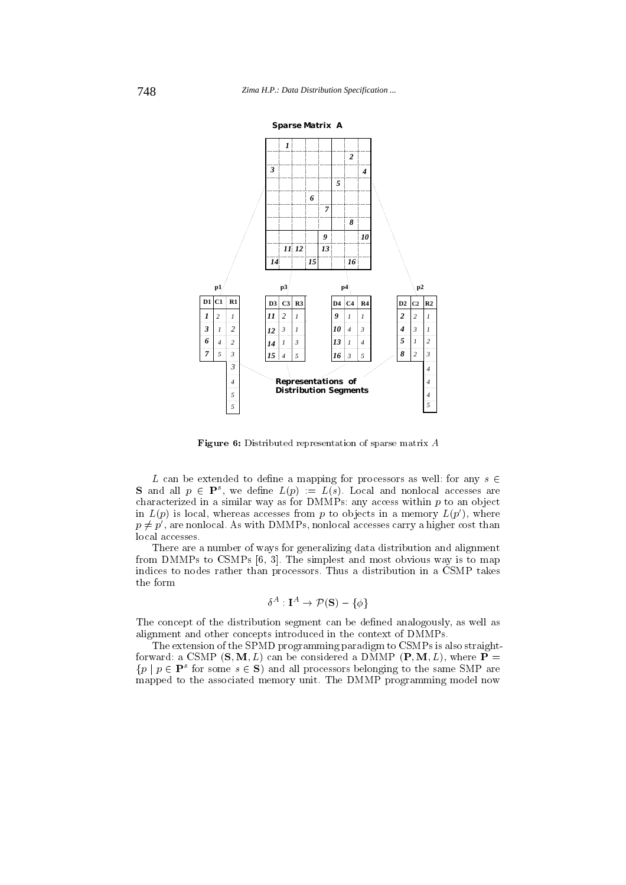

Figure 6: Distributed representation of sparse matrix A

L can be extended to define a mapping for processors as well: for any  $s \in$ **S** and all  $p \in \mathbf{P}^s$ , we define  $L(p) := L(s)$ . Local and nonlocal accesses are characterized in a similar way as for  $\text{DMMPs:}$  any access within p to an object in  $L(p)$  is local, whereas accesses from p to objects in a memory  $L(p')$ , where  $p \neq p'$ , are nonlocal. As with DMMPs, nonlocal accesses carry a higher cost than local accesses.

There are a number of ways for generalizing data distribution and alignment from DMMPs to CSMPs [6, 3]. The simplest and most obvious way is to map indices to nodes rather than processors. Thus a distribution in a CSMP takes the form

$$
\delta^A:{\bf I}^A\to {\cal P}\left({\bf S}\right)-\{\phi\}
$$

The concept of the distribution segment can be defined analogously, as well as alignment and other concepts introduced in the context of DMMPs.

The extension of the SPMD programming paradigm to CSMPs is also straightforward: a CSMP  $(S, M, L)$  can be considered a DMMP  $(P, M, L)$ , where  $P =$  $\{p \mid p \in \mathbf{P}^s \text{ for some } s \in \mathbf{S}\}\$ and all processors belonging to the same SMP are mapped to the associated memory unit. The DMMP programming model now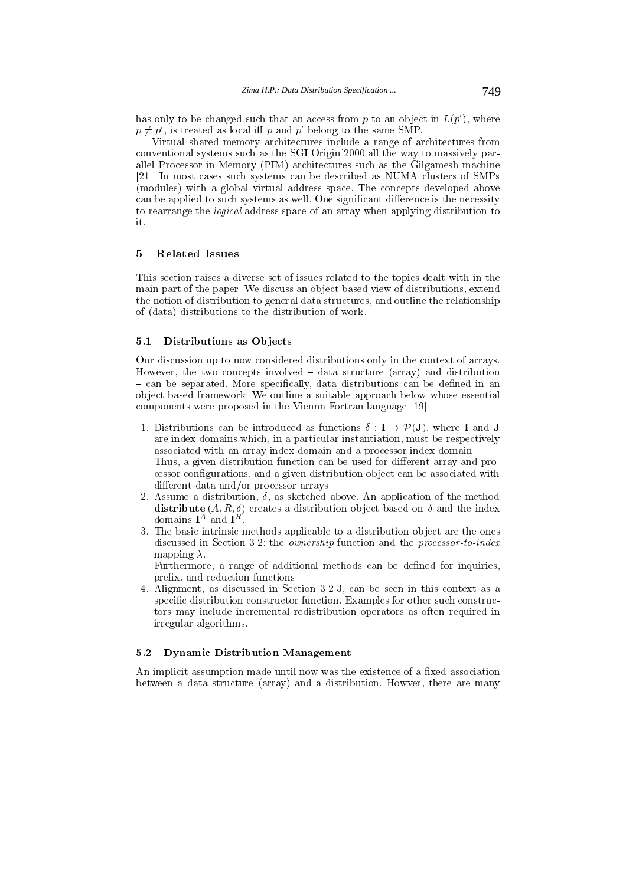has only to be changed such that an access from p to an object in  $L(p')$ , where  $p \neq p'$ , is treated as local iff p and p' belong to the same SMP.

Virtual shared memory architectures include a range of architectures from conventional systems such as the SGI Origin'2000 all the way to massively parallel Processor-in-Memory (PIM) architectures such as the Gilgamesh machine [21]. In most cases such systems can be described as NUMA clusters of SMPs (modules) with a global virtual address space. The concepts developed above can be applied to such systems as well. One significant difference is the necessity to rearrange the logical address space of an array when applying distribution to it.

This section raises a diverse set of issues related to the topics dealt with in the main part of the paper. We discuss an ob ject-based view of distributions, extend the notion of distribution to general data structures, and outline the relationship of (data) distributions to the distribution of work.

#### 5.1 Distributions as Objects

Our discussion up to now considered distributions only in the context of arrays. However, the two concepts involved  $-$  data structure (array) and distribution  $=$  can be separated. More specifically, data distributions can be defined in an ob ject-based framework. We outline a suitable approach below whose essential components were proposed in the Vienna Fortran language [19].

- 1. Distributions can be introduced as functions  $\delta : I \to \mathcal{P}(J)$ , where I and J are index domains which, in a particular instantiation, must be respectively associated with an array index domain and a processor index domain. Thus, a given distribution function can be used for different array and processor congurations, and a given distribution ob ject can be associated with different data and/or processor arrays.
- 2. Assume a distribution,  $\delta$ , as sketched above. An application of the method distribute  $(A, R, \delta)$  creates a distribution object based on  $\delta$  and the index domains **I** and **I** and **I**
- 3. The basic intrinsic methods applicable to a distribution object are the ones discussed in Section 3.2: the *ownership* function and the *processor-to-index* mapping  $\lambda$ .

Furthermore, a range of additional methods can be defined for inquiries, prex, and reduction functions.

4. Alignment, as discussed in Section 3.2.3, can be seen in this context as a specific distribution constructor function. Examples for other such constructors may include incremental redistribution operators as often required in irregular algorithms.

## 5.2 Dynamic Distribution Management

An implicit assumption made until now was the existence of a fixed association between a data structure (array) and a distribution. Howver, there are many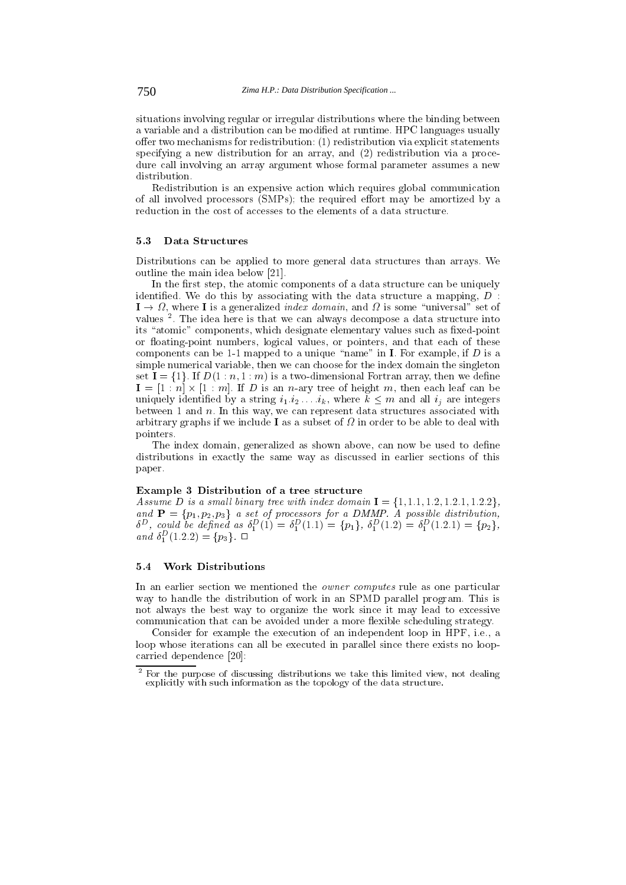situations involving regular or irregular distributions where the binding between a variable and a distribution can be modied at runtime. HPC languages usually offer two mechanisms for redistribution:  $(1)$  redistribution via explicit statements specifying a new distribution for an array, and (2) redistribution via a procedure call involving an array argument whose formal parameter assumes a new distribution.

Redistribution is an expensive action which requires global communication of all involved processors  $(SMPs)$ ; the required effort may be amortized by a reduction in the cost of accesses to the elements of a data structure.

#### 5.3 Data Structures

Distributions can be applied to more general data structures than arrays. We outline the main idea below [21].

In the first step, the atomic components of a data structure can be uniquely identified. We do this by associating with the data structure a mapping,  $D$ :  $1 \rightarrow \Omega$ , where I is a generalized *index domain*, and  $\Omega$  is some "universal" set of values <sup>2</sup> . The idea here is that we can always decompose a data structure into its "atomic" components, which designate elementary values such as fixed-point or floating-point numbers, logical values, or pointers, and that each of these components can be 1-1 mapped to a unique "name" in I. For example, if  $D$  is a simple numerical variable, then we can choose for the index domain the singleton set  $I = \{1\}$ . If  $D(1:n,1:m)$  is a two-dimensional Fortran array, then we define  $\mathbf{I} = [1 : n] \times [1 : m]$ . If D is an n-ary tree of height m, then each leaf can be uniquely identified by a string  $i_1, i_2, \ldots, i_k$ , where  $\tilde{k} \leq m$  and all  $i_j$  are integers between 1 and  $n$ . In this way, we can represent data structures associated with arbitrary graphs if we include I as a subset of the above in order to deal with the able to be able to deal wi pointers.

The index domain, generalized as shown above, can now be used to define distributions in exactly the same way as discussed in earlier sections of this paper.

Assume D is a small binary tree with index domain  $I = \{1, 1.1, 1.2, 1.2.1, 1.2.2\}$ , and  $P = \{p_1, p_2, p_3\}$  a set of processors for a DMMP. A possible distribution,  $\delta^D$ , could be defined as  $\delta_1^D(1) = \delta_1^D(1.1) = \{p_1\}, \ \delta_1^D(1.2) = \delta_1^D(1.2.1) = \{p_2\},\$ and  $\delta_1^D(1.2.2) = \{p_3\}.$ 

#### 5.4 Work Distributions

In an earlier section we mentioned the *owner computes* rule as one particular way to handle the distribution of work in an SPMD parallel program. This is not always the best way to organize the work since it may lead to excessive communication that can be avoided under a more flexible scheduling strategy.

Consider for example the execution of an independent loop in HPF, i.e., a loop whose iterations can all be executed in parallel since there exists no loopcarried dependence [20]:

<sup>2</sup> For the purpose of discussing distributions we take this limited view, not dealing explicitly with such information as the topology of the data structure.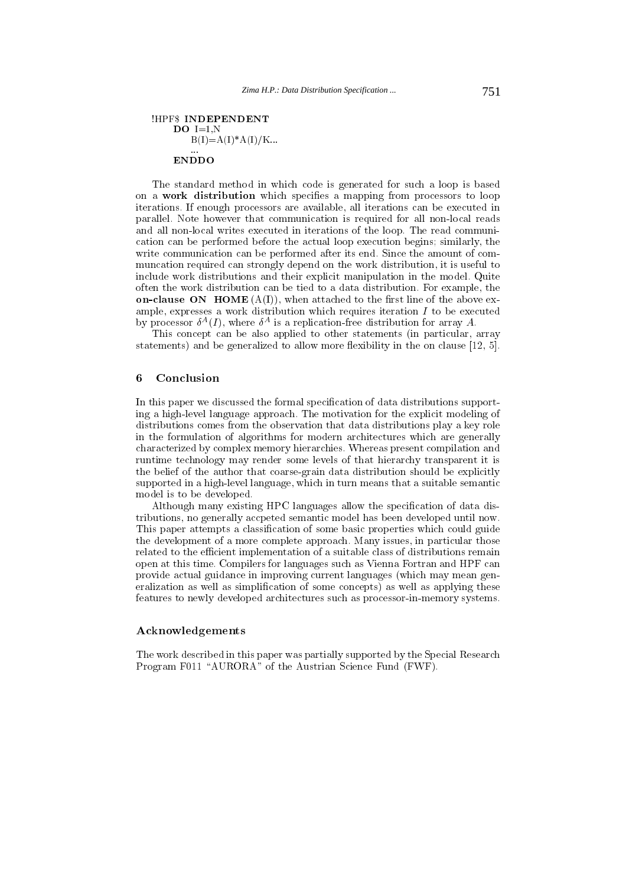# **HPFS INDEPENDENT**  $DO I=1,N$  $B(I)=A(I)^*A(I)/K...$

The standard method in which code is generated for such a loop is based on a work distribution which specifies a mapping from processors to loop iterations. If enough processors are available, all iterations can be executed in parallel. Note however that communication is required for all non-local reads and all non-local writes executed in iterations of the loop. The read communication can be performed before the actual loop execution begins; similarly, the write communication can be performed after its end. Since the amount of com muncation required can strongly depend on the work distribution, it is useful to include work distributions and their explicit manipulation in the model. Quite often the work distribution can be tied to a data distribution. For example, the on-clause ON HOME  $(A(I))$ , when attached to the first line of the above example, expresses a work distribution which requires iteration  $I$  to be executed by processor  $\sigma^{\perp}(I)$ , where  $\sigma^{\perp}$  is a replication-free distribution for array  $A$ .

This concept can be also applied to other statements (in particular, array statements) and be generalized to allow more flexibility in the on clause  $[12, 5]$ .

#### 6 Conclusion

In this paper we discussed the formal specification of data distributions supporting a high-level language approach. The motivation for the explicit modeling of distributions comes from the observation that data distributions play a key role in the formulation of algorithms for modern architectures which are generally characterized by complex memory hierarchies. Whereas present compilation and runtime technology may render some levels of that hierarchy transparent it is the belief of the author that coarse-grain data distribution should be explicitly supported in a high-level language, which in turn means that a suitable semantic model is to be developed.

Although many existing HPC languages allow the specification of data distributions, no generally accpeted semantic model has been developed until now. This paper attempts a classification of some basic properties which could guide the development of a more complete approach. Many issues, in particular those related to the efficient implementation of a suitable class of distributions remain open at this time. Compilers for languages such as Vienna Fortran and HPF can provide actual guidance in improving current languages (which may mean generalization as well as simplification of some concepts) as well as applying these features to newly developed architectures such as processor-in-memory systems.

#### Acknowledgements

The work described in this paper was partially supported by the Special Research Program F011 "AURORA" of the Austrian Science Fund (FWF).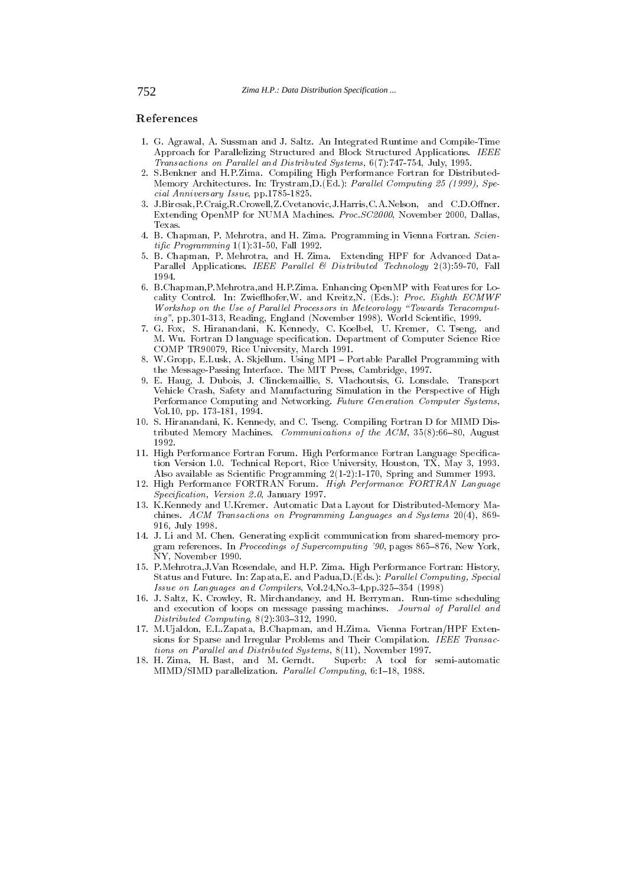#### References

- 1. G. Agrawal, A. Sussman and J. Saltz. An Integrated Runtime and Compile-Time Approach for Parallelizing Structured and Block Structured Applications. IEEE Transactions on Parallel and Distributed Systems,  $6(7)$ :747-754, July, 1995.
- 2. S.Benkner and H.P.Zima. Compiling High Performance Fortran for Distributed-Memory Architectures. In: Trystram, D. (Ed.): Parallel Computing 25 (1999), Special Anniversary Issue, pp.1785-1825-1825.
- 3. J.Bircsak,P.Craig,R.Crowell,Z.Cvetanovic,J.Harris,C.A.Nelson, and C.D.Oner. Extending OpenMP for NUMA Machines. Proc.SC2000, November 2000, Dallas, Texas.
- 4. B. Chapman, P. Mehrotra, and H. Zima. Programming in Vienna Fortran. Scientific Programming  $1(1)$ :31-50, Fall 1992.
- 5. B. Chapman, P. Mehrotra, and H. Zima. Extending HPF for Advanced Data-Parallel Applications. IEEE Parallel & Distributed Technology  $2(3):59-70$ , Fall 1994
- 6. B.Chapman,P.Mehrotra,and H.P.Zima. Enhancing OpenMP with Features for Locality Control. In: Zwiefthofer, W. and Kreitz, N. (Eds.): Proc. Eighth ECMWF Workshop on the Use of Parallel Processors in Meteorology "Towards Teracomputing", pp.301-313, Reading, England (November 1998). World Scientific, 1999.
- 7. G. Fox, S. Hiranandani, K. Kennedy, C. Koelbel, U. Kremer, C. Tseng, and M. Wu. Fortran D language specication. Department of Computer Science Rice COMP TR90079, Rice University, March 1991.
- 8. W.Gropp, E.Lusk, A. Skjellum. Using MPI Portable Parallel Programming with the Message-Passing Interface. The MIT Press, Cambridge, 1997.
- 9. E. Haug, J. Dubois, J. Clinckemaillie, S. Vlachoutsis, G. Lonsdale. Transport Vehicle Crash, Safety and Manufacturing Simulation in the Perspective of High Performance Computing and Networking. Future Generation Computer Systems, Vol.10, pp. 173-181, 1994.
- 10. S. Hiranandani, K. Kennedy, and C. Tseng. Compiling Fortran D for MIMD Distributed Memory Machines. *Communications of the ACM*,  $35(8):66-80$ , August 1992.
- 11. High Performance Fortran Forum. High Performance Fortran Language Specication Version 1.0. Technical Report, Rice University, Houston, TX, May 3, 1993. Also available as Scientic Programming 2(1-2):1-170, Spring and Summer 1993.
- 12. High Performance FORTRAN Forum. High Performance FORTRAN Language Specification, Version 2.0, January 1997.
- 13. K.Kennedy and U.Kremer. Automatic Data Layout for Distributed-Memory Ma chines. ACM Transactions on Programming Languages and Systems 20(4), 869- 916, July 1998.
- 14. J. Li and M. Chen. Generating explicit communication from shared-memory program references. In Proceedings of Supercomputing '90, pages 865-876, New York, NY, November 1990.
- 15. P.Mehrotra,J.Van Rosendale, and H.P. Zima. High Performance Fortran: History, Status and Future. In: Zapata, E. and Padua, D. (Eds.): *Parallel Computing, Special* Issue on Languages and Compilers,  $Vol.24$ ,  $Vol.3-4$ ,  $pp.325-354$  (1998)
- 16. J. Saltz, K. Crowley, R. Mirchandaney, and H. Berryman. Run-time scheduling and execution of loops on message passing machines. Journal of Parallel and  $Distributed\ Computing,\ 8(2):303-312,\ 1990.$
- 17. M.Ujaldon, E.L.Zapata, B.Chapman, and H.Zima. Vienna Fortran/HPF Extensions for Sparse and Irregular Problems and Their Compilation. IEEE Transactions on Parallel and Distributed Systems, 8(11), November 1997.
- 18. H. Zima, H. Bast, and M. Gerndt. Superb: A tool for semi-automatic MIMD/SIMD parallelization. Parallel Computing, 6:1-18, 1988.